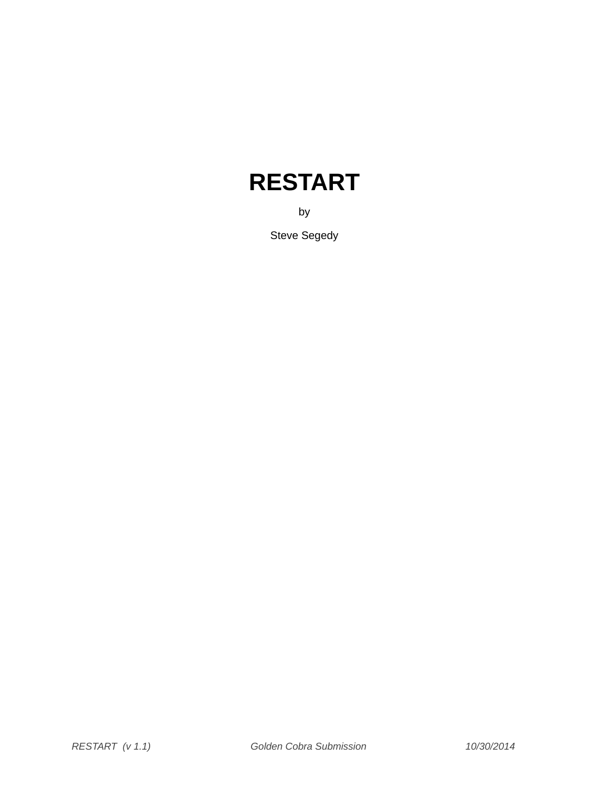# **RESTART**

by

Steve Segedy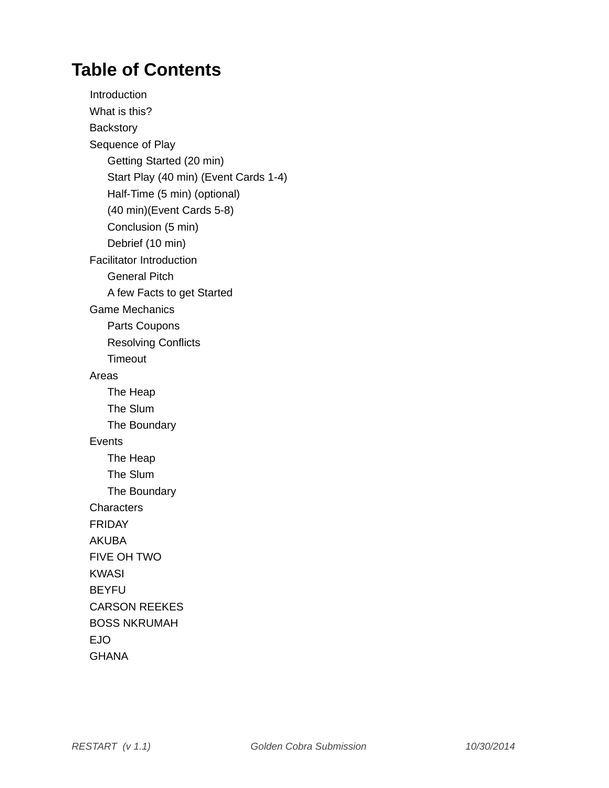## **Table of Contents**

**Introduction** What is this? **Backstory** Sequence of Play Getting Started (20 min) Start Play (40 min) (Event Cards 1-4) Half-Time (5 min) (optional) (40 min)(Event Cards 5-8) Conclusion (5 min) Debrief (10 min) Facilitator Introduction General Pitch A few Facts to get Started Game Mechanics Parts Coupons Resolving Conflicts Timeout Areas The Heap The Slum The Boundary Events The Heap The Slum The Boundary **Characters** FRIDAY AKUBA FIVE OH TWO KWASI BEYFU CARSON REEKES BOSS NKRUMAH EJO **GHANA**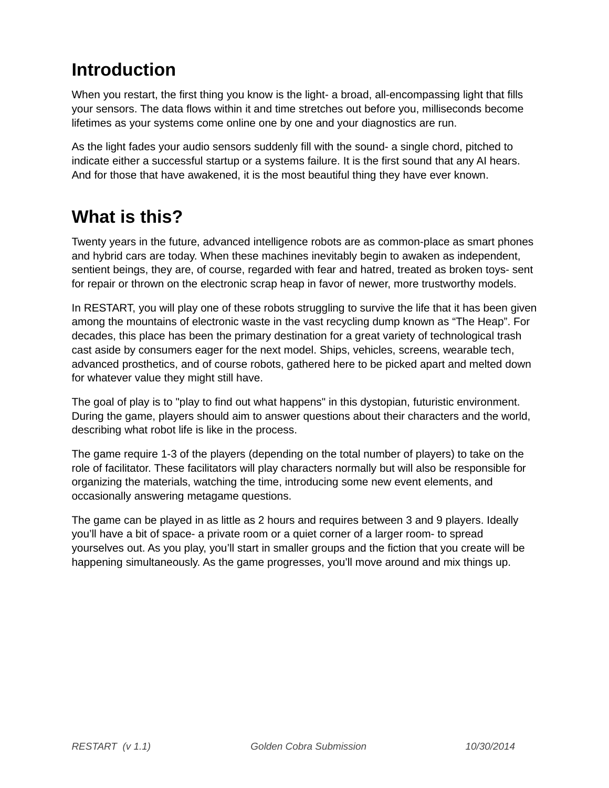## **Introduction**

When you restart, the first thing you know is the light- a broad, all-encompassing light that fills your sensors. The data flows within it and time stretches out before you, milliseconds become lifetimes as your systems come online one by one and your diagnostics are run.

As the light fades your audio sensors suddenly fill with the sound- a single chord, pitched to indicate either a successful startup or a systems failure. It is the first sound that any AI hears. And for those that have awakened, it is the most beautiful thing they have ever known.

## **What is this?**

Twenty years in the future, advanced intelligence robots are as common-place as smart phones and hybrid cars are today. When these machines inevitably begin to awaken as independent, sentient beings, they are, of course, regarded with fear and hatred, treated as broken toys- sent for repair or thrown on the electronic scrap heap in favor of newer, more trustworthy models.

In RESTART, you will play one of these robots struggling to survive the life that it has been given among the mountains of electronic waste in the vast recycling dump known as "The Heap". For decades, this place has been the primary destination for a great variety of technological trash cast aside by consumers eager for the next model. Ships, vehicles, screens, wearable tech, advanced prosthetics, and of course robots, gathered here to be picked apart and melted down for whatever value they might still have.

The goal of play is to "play to find out what happens" in this dystopian, futuristic environment. During the game, players should aim to answer questions about their characters and the world, describing what robot life is like in the process.

The game require 1-3 of the players (depending on the total number of players) to take on the role of facilitator. These facilitators will play characters normally but will also be responsible for organizing the materials, watching the time, introducing some new event elements, and occasionally answering metagame questions.

The game can be played in as little as 2 hours and requires between 3 and 9 players. Ideally you'll have a bit of space- a private room or a quiet corner of a larger room- to spread yourselves out. As you play, you'll start in smaller groups and the fiction that you create will be happening simultaneously. As the game progresses, you'll move around and mix things up.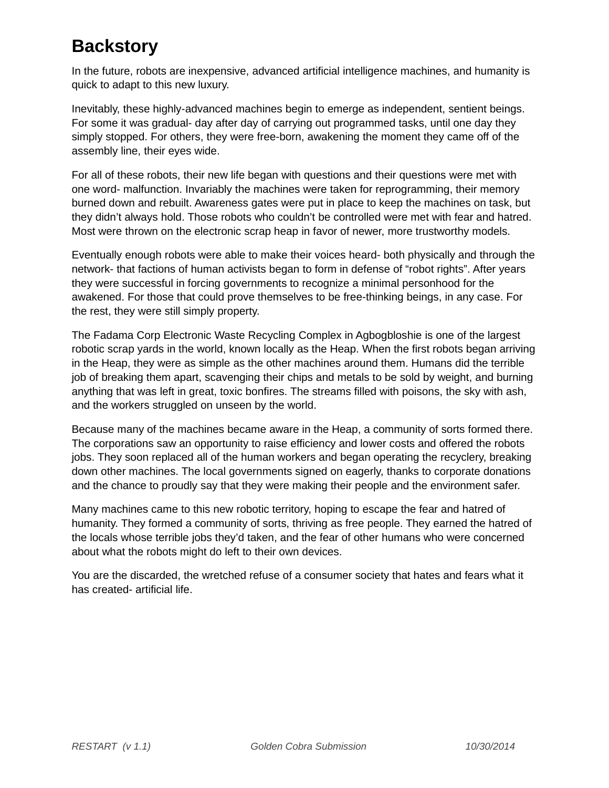## **Backstory**

In the future, robots are inexpensive, advanced artificial intelligence machines, and humanity is quick to adapt to this new luxury.

Inevitably, these highly-advanced machines begin to emerge as independent, sentient beings. For some it was gradual- day after day of carrying out programmed tasks, until one day they simply stopped. For others, they were free-born, awakening the moment they came off of the assembly line, their eyes wide.

For all of these robots, their new life began with questions and their questions were met with one word- malfunction. Invariably the machines were taken for reprogramming, their memory burned down and rebuilt. Awareness gates were put in place to keep the machines on task, but they didn't always hold. Those robots who couldn't be controlled were met with fear and hatred. Most were thrown on the electronic scrap heap in favor of newer, more trustworthy models.

Eventually enough robots were able to make their voices heard- both physically and through the network- that factions of human activists began to form in defense of "robot rights". After years they were successful in forcing governments to recognize a minimal personhood for the awakened. For those that could prove themselves to be free-thinking beings, in any case. For the rest, they were still simply property.

The Fadama Corp Electronic Waste Recycling Complex in Agbogbloshie is one of the largest robotic scrap yards in the world, known locally as the Heap. When the first robots began arriving in the Heap, they were as simple as the other machines around them. Humans did the terrible job of breaking them apart, scavenging their chips and metals to be sold by weight, and burning anything that was left in great, toxic bonfires. The streams filled with poisons, the sky with ash, and the workers struggled on unseen by the world.

Because many of the machines became aware in the Heap, a community of sorts formed there. The corporations saw an opportunity to raise efficiency and lower costs and offered the robots jobs. They soon replaced all of the human workers and began operating the recyclery, breaking down other machines. The local governments signed on eagerly, thanks to corporate donations and the chance to proudly say that they were making their people and the environment safer.

Many machines came to this new robotic territory, hoping to escape the fear and hatred of humanity. They formed a community of sorts, thriving as free people. They earned the hatred of the locals whose terrible jobs they'd taken, and the fear of other humans who were concerned about what the robots might do left to their own devices.

You are the discarded, the wretched refuse of a consumer society that hates and fears what it has created- artificial life.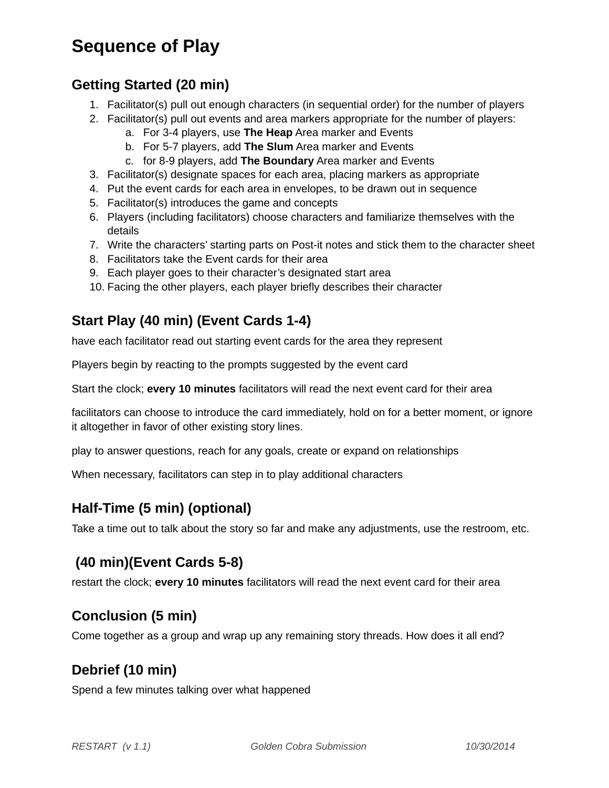## **Sequence of Play**

### **Getting Started (20 min)**

- 1. Facilitator(s) pull out enough characters (in sequential order) for the number of players
- 2. Facilitator(s) pull out events and area markers appropriate for the number of players:
	- a. For 3-4 players, use **The Heap** Area marker and Events
	- b. For 5-7 players, add **The Slum** Area marker and Events
	- c. for 8-9 players, add **The Boundary** Area marker and Events
- 3. Facilitator(s) designate spaces for each area, placing markers as appropriate
- 4. Put the event cards for each area in envelopes, to be drawn out in sequence
- 5. Facilitator(s) introduces the game and concepts
- 6. Players (including facilitators) choose characters and familiarize themselves with the details
- 7. Write the characters' starting parts on Post-it notes and stick them to the character sheet
- 8. Facilitators take the Event cards for their area
- 9. Each player goes to their character's designated start area
- 10. Facing the other players, each player briefly describes their character

### **Start Play (40 min) (Event Cards 1-4)**

have each facilitator read out starting event cards for the area they represent

Players begin by reacting to the prompts suggested by the event card

Start the clock; **every 10 minutes** facilitators will read the next event card for their area

facilitators can choose to introduce the card immediately, hold on for a better moment, or ignore it altogether in favor of other existing story lines.

play to answer questions, reach for any goals, create or expand on relationships

When necessary, facilitators can step in to play additional characters

### **Half-Time (5 min) (optional)**

Take a time out to talk about the story so far and make any adjustments, use the restroom, etc.

### **(40 min)(Event Cards 5-8)**

restart the clock; **every 10 minutes** facilitators will read the next event card for their area

### **Conclusion (5 min)**

Come together as a group and wrap up any remaining story threads. How does it all end?

### **Debrief (10 min)**

Spend a few minutes talking over what happened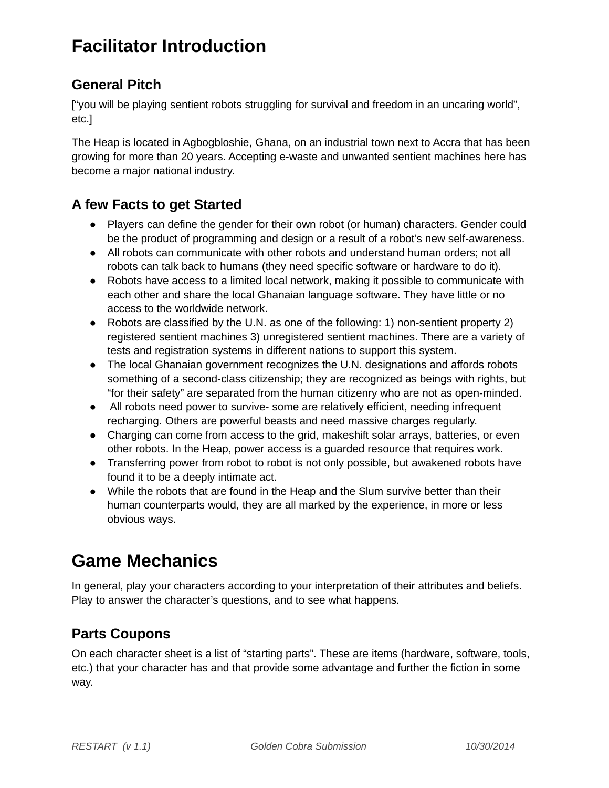## **Facilitator Introduction**

### **General Pitch**

["you will be playing sentient robots struggling for survival and freedom in an uncaring world", etc.]

The Heap is located in Agbogbloshie, Ghana, on an industrial town next to Accra that has been growing for more than 20 years. Accepting e-waste and unwanted sentient machines here has become a major national industry.

### **A few Facts to get Started**

- Players can define the gender for their own robot (or human) characters. Gender could be the product of programming and design or a result of a robot's new self-awareness.
- All robots can communicate with other robots and understand human orders; not all robots can talk back to humans (they need specific software or hardware to do it).
- Robots have access to a limited local network, making it possible to communicate with each other and share the local Ghanaian language software. They have little or no access to the worldwide network.
- Robots are classified by the U.N. as one of the following: 1) non-sentient property 2) registered sentient machines 3) unregistered sentient machines. There are a variety of tests and registration systems in different nations to support this system.
- The local Ghanaian government recognizes the U.N. designations and affords robots something of a second-class citizenship; they are recognized as beings with rights, but "for their safety" are separated from the human citizenry who are not as open-minded.
- All robots need power to survive- some are relatively efficient, needing infrequent recharging. Others are powerful beasts and need massive charges regularly.
- Charging can come from access to the grid, makeshift solar arrays, batteries, or even other robots. In the Heap, power access is a guarded resource that requires work.
- Transferring power from robot to robot is not only possible, but awakened robots have found it to be a deeply intimate act.
- While the robots that are found in the Heap and the Slum survive better than their human counterparts would, they are all marked by the experience, in more or less obvious ways.

## **Game Mechanics**

In general, play your characters according to your interpretation of their attributes and beliefs. Play to answer the character's questions, and to see what happens.

### **Parts Coupons**

On each character sheet is a list of "starting parts". These are items (hardware, software, tools, etc.) that your character has and that provide some advantage and further the fiction in some way.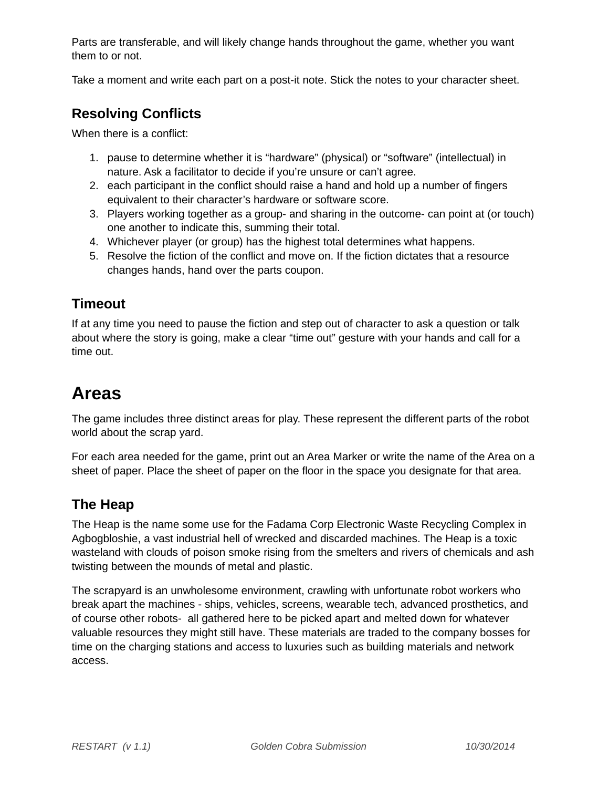Parts are transferable, and will likely change hands throughout the game, whether you want them to or not.

Take a moment and write each part on a post-it note. Stick the notes to your character sheet.

### **Resolving Conflicts**

When there is a conflict:

- 1. pause to determine whether it is "hardware" (physical) or "software" (intellectual) in nature. Ask a facilitator to decide if you're unsure or can't agree.
- 2. each participant in the conflict should raise a hand and hold up a number of fingers equivalent to their character's hardware or software score.
- 3. Players working together as a group- and sharing in the outcome- can point at (or touch) one another to indicate this, summing their total.
- 4. Whichever player (or group) has the highest total determines what happens.
- 5. Resolve the fiction of the conflict and move on. If the fiction dictates that a resource changes hands, hand over the parts coupon.

### **Timeout**

If at any time you need to pause the fiction and step out of character to ask a question or talk about where the story is going, make a clear "time out" gesture with your hands and call for a time out.

## **Areas**

The game includes three distinct areas for play. These represent the different parts of the robot world about the scrap yard.

For each area needed for the game, print out an Area Marker or write the name of the Area on a sheet of paper. Place the sheet of paper on the floor in the space you designate for that area.

### **The Heap**

The Heap is the name some use for the Fadama Corp Electronic Waste Recycling Complex in Agbogbloshie, a vast industrial hell of wrecked and discarded machines. The Heap is a toxic wasteland with clouds of poison smoke rising from the smelters and rivers of chemicals and ash twisting between the mounds of metal and plastic.

The scrapyard is an unwholesome environment, crawling with unfortunate robot workers who break apart the machines - ships, vehicles, screens, wearable tech, advanced prosthetics, and of course other robots- all gathered here to be picked apart and melted down for whatever valuable resources they might still have. These materials are traded to the company bosses for time on the charging stations and access to luxuries such as building materials and network access.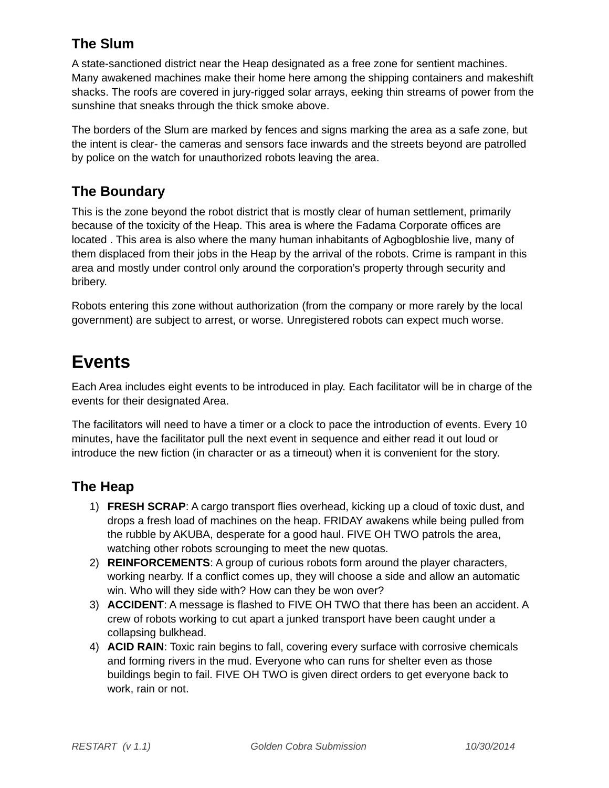### **The Slum**

A state-sanctioned district near the Heap designated as a free zone for sentient machines. Many awakened machines make their home here among the shipping containers and makeshift shacks. The roofs are covered in jury-rigged solar arrays, eeking thin streams of power from the sunshine that sneaks through the thick smoke above.

The borders of the Slum are marked by fences and signs marking the area as a safe zone, but the intent is clear- the cameras and sensors face inwards and the streets beyond are patrolled by police on the watch for unauthorized robots leaving the area.

### **The Boundary**

This is the zone beyond the robot district that is mostly clear of human settlement, primarily because of the toxicity of the Heap. This area is where the Fadama Corporate offices are located . This area is also where the many human inhabitants of Agbogbloshie live, many of them displaced from their jobs in the Heap by the arrival of the robots. Crime is rampant in this area and mostly under control only around the corporation's property through security and bribery.

Robots entering this zone without authorization (from the company or more rarely by the local government) are subject to arrest, or worse. Unregistered robots can expect much worse.

### **Events**

Each Area includes eight events to be introduced in play. Each facilitator will be in charge of the events for their designated Area.

The facilitators will need to have a timer or a clock to pace the introduction of events. Every 10 minutes, have the facilitator pull the next event in sequence and either read it out loud or introduce the new fiction (in character or as a timeout) when it is convenient for the story.

### **The Heap**

- 1) **FRESH SCRAP**: A cargo transport flies overhead, kicking up a cloud of toxic dust, and drops a fresh load of machines on the heap. FRIDAY awakens while being pulled from the rubble by AKUBA, desperate for a good haul. FIVE OH TWO patrols the area, watching other robots scrounging to meet the new quotas.
- 2) **REINFORCEMENTS**: A group of curious robots form around the player characters, working nearby. If a conflict comes up, they will choose a side and allow an automatic win. Who will they side with? How can they be won over?
- 3) **ACCIDENT**: A message is flashed to FIVE OH TWO that there has been an accident. A crew of robots working to cut apart a junked transport have been caught under a collapsing bulkhead.
- 4) **ACID RAIN**: Toxic rain begins to fall, covering every surface with corrosive chemicals and forming rivers in the mud. Everyone who can runs for shelter even as those buildings begin to fail. FIVE OH TWO is given direct orders to get everyone back to work, rain or not.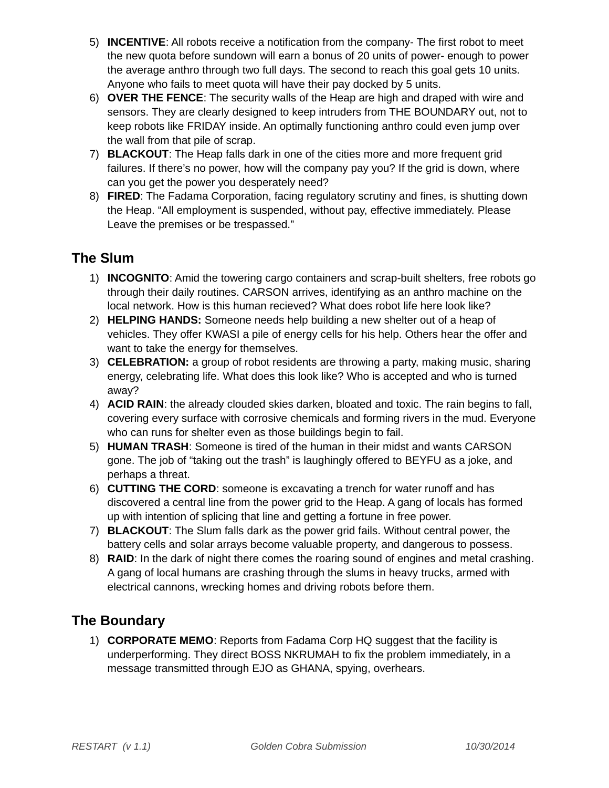- 5) **INCENTIVE**: All robots receive a notification from the company- The first robot to meet the new quota before sundown will earn a bonus of 20 units of power- enough to power the average anthro through two full days. The second to reach this goal gets 10 units. Anyone who fails to meet quota will have their pay docked by 5 units.
- 6) **OVER THE FENCE**: The security walls of the Heap are high and draped with wire and sensors. They are clearly designed to keep intruders from THE BOUNDARY out, not to keep robots like FRIDAY inside. An optimally functioning anthro could even jump over the wall from that pile of scrap.
- 7) **BLACKOUT**: The Heap falls dark in one of the cities more and more frequent grid failures. If there's no power, how will the company pay you? If the grid is down, where can you get the power you desperately need?
- 8) **FIRED**: The Fadama Corporation, facing regulatory scrutiny and fines, is shutting down the Heap. "All employment is suspended, without pay, effective immediately. Please Leave the premises or be trespassed."

### **The Slum**

- 1) **INCOGNITO**: Amid the towering cargo containers and scrap-built shelters, free robots go through their daily routines. CARSON arrives, identifying as an anthro machine on the local network. How is this human recieved? What does robot life here look like?
- 2) **HELPING HANDS:** Someone needs help building a new shelter out of a heap of vehicles. They offer KWASI a pile of energy cells for his help. Others hear the offer and want to take the energy for themselves.
- 3) **CELEBRATION:** a group of robot residents are throwing a party, making music, sharing energy, celebrating life. What does this look like? Who is accepted and who is turned away?
- 4) **ACID RAIN**: the already clouded skies darken, bloated and toxic. The rain begins to fall, covering every surface with corrosive chemicals and forming rivers in the mud. Everyone who can runs for shelter even as those buildings begin to fail.
- 5) **HUMAN TRASH**: Someone is tired of the human in their midst and wants CARSON gone. The job of "taking out the trash" is laughingly offered to BEYFU as a joke, and perhaps a threat.
- 6) **CUTTING THE CORD**: someone is excavating a trench for water runoff and has discovered a central line from the power grid to the Heap. A gang of locals has formed up with intention of splicing that line and getting a fortune in free power.
- 7) **BLACKOUT**: The Slum falls dark as the power grid fails. Without central power, the battery cells and solar arrays become valuable property, and dangerous to possess.
- 8) **RAID**: In the dark of night there comes the roaring sound of engines and metal crashing. A gang of local humans are crashing through the slums in heavy trucks, armed with electrical cannons, wrecking homes and driving robots before them.

### **The Boundary**

1) **CORPORATE MEMO**: Reports from Fadama Corp HQ suggest that the facility is underperforming. They direct BOSS NKRUMAH to fix the problem immediately, in a message transmitted through EJO as GHANA, spying, overhears.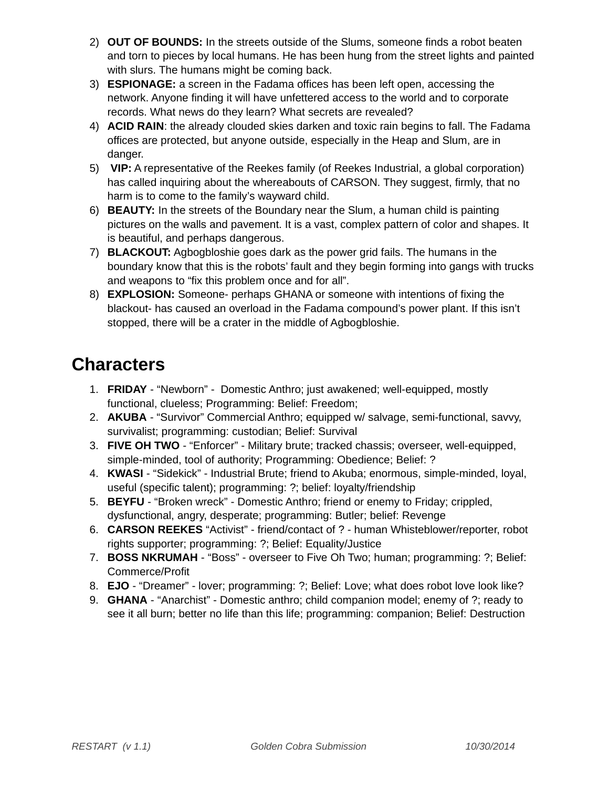- 2) **OUT OF BOUNDS:** In the streets outside of the Slums, someone finds a robot beaten and torn to pieces by local humans. He has been hung from the street lights and painted with slurs. The humans might be coming back.
- 3) **ESPIONAGE:** a screen in the Fadama offices has been left open, accessing the network. Anyone finding it will have unfettered access to the world and to corporate records. What news do they learn? What secrets are revealed?
- 4) **ACID RAIN**: the already clouded skies darken and toxic rain begins to fall. The Fadama offices are protected, but anyone outside, especially in the Heap and Slum, are in danger.
- 5) **VIP:** A representative of the Reekes family (of Reekes Industrial, a global corporation) has called inquiring about the whereabouts of CARSON. They suggest, firmly, that no harm is to come to the family's wayward child.
- 6) **BEAUTY:** In the streets of the Boundary near the Slum, a human child is painting pictures on the walls and pavement. It is a vast, complex pattern of color and shapes. It is beautiful, and perhaps dangerous.
- 7) **BLACKOUT:** Agbogbloshie goes dark as the power grid fails. The humans in the boundary know that this is the robots' fault and they begin forming into gangs with trucks and weapons to "fix this problem once and for all".
- 8) **EXPLOSION:** Someone- perhaps GHANA or someone with intentions of fixing the blackout- has caused an overload in the Fadama compound's power plant. If this isn't stopped, there will be a crater in the middle of Agbogbloshie.

## **Characters**

- 1. **FRIDAY** "Newborn" Domestic Anthro; just awakened; well-equipped, mostly functional, clueless; Programming: Belief: Freedom;
- 2. **AKUBA** "Survivor" Commercial Anthro; equipped w/ salvage, semi-functional, savvy, survivalist; programming: custodian; Belief: Survival
- 3. **FIVE OH TWO** "Enforcer" Military brute; tracked chassis; overseer, well-equipped, simple-minded, tool of authority; Programming: Obedience; Belief: ?
- 4. **KWASI**  "Sidekick" Industrial Brute; friend to Akuba; enormous, simple-minded, loyal, useful (specific talent); programming: ?; belief: loyalty/friendship
- 5. **BEYFU** "Broken wreck" Domestic Anthro; friend or enemy to Friday; crippled, dysfunctional, angry, desperate; programming: Butler; belief: Revenge
- 6. **CARSON REEKES** "Activist" friend/contact of ? human Whisteblower/reporter, robot rights supporter; programming: ?; Belief: Equality/Justice
- 7. **BOSS NKRUMAH** "Boss" overseer to Five Oh Two; human; programming: ?; Belief: Commerce/Profit
- 8. **EJO** "Dreamer" lover; programming: ?; Belief: Love; what does robot love look like?
- 9. **GHANA** "Anarchist" Domestic anthro; child companion model; enemy of ?; ready to see it all burn; better no life than this life; programming: companion; Belief: Destruction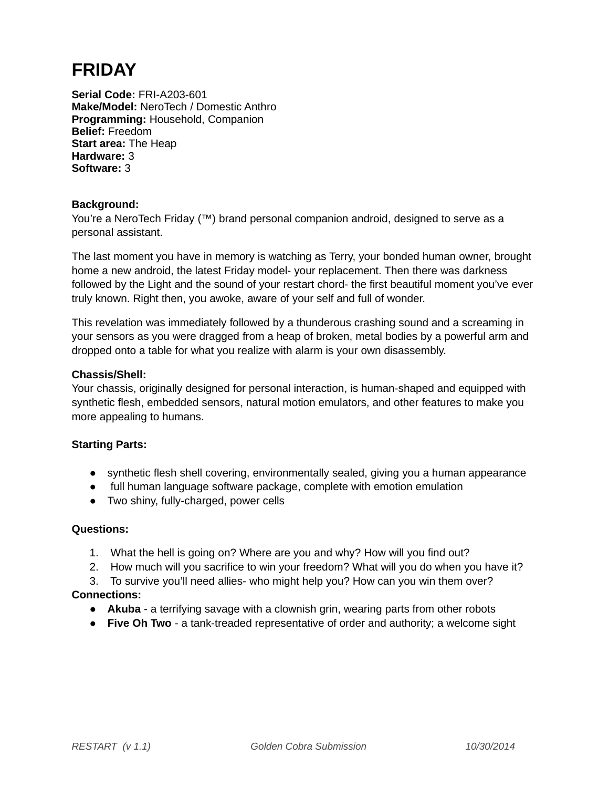## **FRIDAY**

**Serial Code:** FRI-A203-601 **Make/Model:** NeroTech / Domestic Anthro **Programming:** Household, Companion **Belief:** Freedom **Start area:** The Heap **Hardware:** 3 **Software:** 3

#### **Background:**

You're a NeroTech Friday (™) brand personal companion android, designed to serve as a personal assistant.

The last moment you have in memory is watching as Terry, your bonded human owner, brought home a new android, the latest Friday model- your replacement. Then there was darkness followed by the Light and the sound of your restart chord- the first beautiful moment you've ever truly known. Right then, you awoke, aware of your self and full of wonder.

This revelation was immediately followed by a thunderous crashing sound and a screaming in your sensors as you were dragged from a heap of broken, metal bodies by a powerful arm and dropped onto a table for what you realize with alarm is your own disassembly.

#### **Chassis/Shell:**

Your chassis, originally designed for personal interaction, is human-shaped and equipped with synthetic flesh, embedded sensors, natural motion emulators, and other features to make you more appealing to humans.

#### **Starting Parts:**

- synthetic flesh shell covering, environmentally sealed, giving you a human appearance
- full human language software package, complete with emotion emulation
- Two shiny, fully-charged, power cells

#### **Questions:**

- 1. What the hell is going on? Where are you and why? How will you find out?
- 2. How much will you sacrifice to win your freedom? What will you do when you have it?

3. To survive you'll need allies- who might help you? How can you win them over? **Connections:**

- **Akuba** a terrifying savage with a clownish grin, wearing parts from other robots
- **Five Oh Two** a tank-treaded representative of order and authority; a welcome sight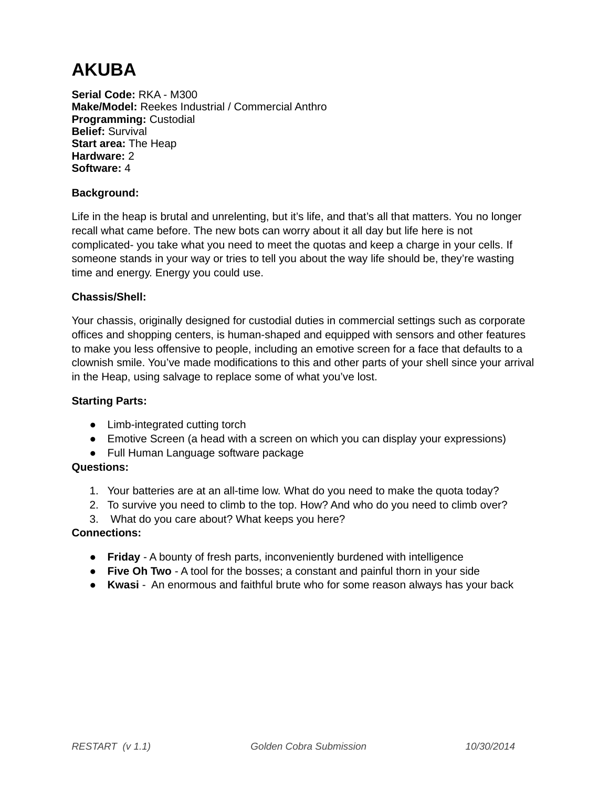## **AKUBA**

**Serial Code:** RKA - M300 **Make/Model:** Reekes Industrial / Commercial Anthro **Programming:** Custodial **Belief:** Survival **Start area:** The Heap **Hardware:** 2 **Software:** 4

#### **Background:**

Life in the heap is brutal and unrelenting, but it's life, and that's all that matters. You no longer recall what came before. The new bots can worry about it all day but life here is not complicated- you take what you need to meet the quotas and keep a charge in your cells. If someone stands in your way or tries to tell you about the way life should be, they're wasting time and energy. Energy you could use.

#### **Chassis/Shell:**

Your chassis, originally designed for custodial duties in commercial settings such as corporate offices and shopping centers, is human-shaped and equipped with sensors and other features to make you less offensive to people, including an emotive screen for a face that defaults to a clownish smile. You've made modifications to this and other parts of your shell since your arrival in the Heap, using salvage to replace some of what you've lost.

#### **Starting Parts:**

- Limb-integrated cutting torch
- Emotive Screen (a head with a screen on which you can display your expressions)
- Full Human Language software package

#### **Questions:**

- 1. Your batteries are at an all-time low. What do you need to make the quota today?
- 2. To survive you need to climb to the top. How? And who do you need to climb over?
- 3. What do you care about? What keeps you here?

- **Friday** A bounty of fresh parts, inconveniently burdened with intelligence
- **Five Oh Two** A tool for the bosses; a constant and painful thorn in your side
- **Kwasi**  An enormous and faithful brute who for some reason always has your back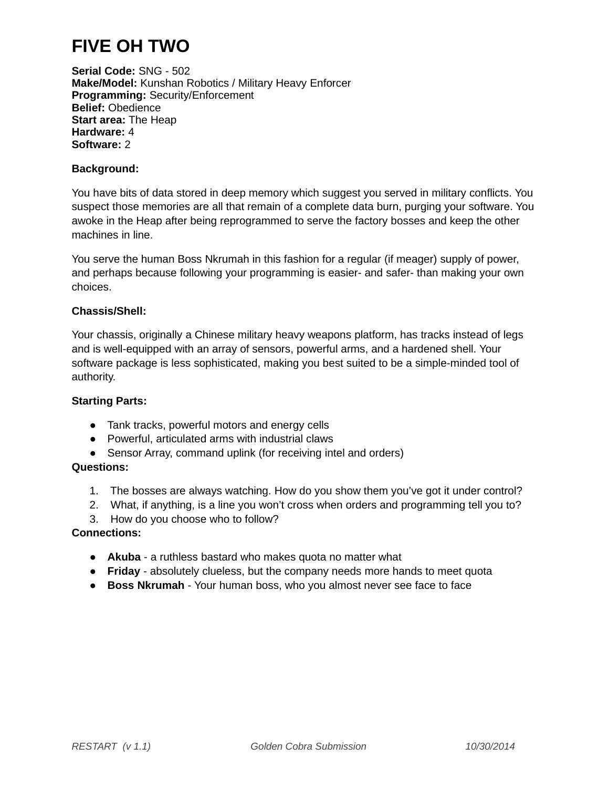## **FIVE OH TWO**

**Serial Code:** SNG - 502 **Make/Model:** Kunshan Robotics / Military Heavy Enforcer **Programming:** Security/Enforcement **Belief:** Obedience **Start area:** The Heap **Hardware:** 4 **Software:** 2

#### **Background:**

You have bits of data stored in deep memory which suggest you served in military conflicts. You suspect those memories are all that remain of a complete data burn, purging your software. You awoke in the Heap after being reprogrammed to serve the factory bosses and keep the other machines in line.

You serve the human Boss Nkrumah in this fashion for a regular (if meager) supply of power, and perhaps because following your programming is easier- and safer- than making your own choices.

#### **Chassis/Shell:**

Your chassis, originally a Chinese military heavy weapons platform, has tracks instead of legs and is well-equipped with an array of sensors, powerful arms, and a hardened shell. Your software package is less sophisticated, making you best suited to be a simple-minded tool of authority.

#### **Starting Parts:**

- Tank tracks, powerful motors and energy cells
- Powerful, articulated arms with industrial claws
- Sensor Array, command uplink (for receiving intel and orders)

#### **Questions:**

- 1. The bosses are always watching. How do you show them you've got it under control?
- 2. What, if anything, is a line you won't cross when orders and programming tell you to?
- 3. How do you choose who to follow?

- **Akuba** a ruthless bastard who makes quota no matter what
- **Friday** absolutely clueless, but the company needs more hands to meet quota
- **Boss Nkrumah** Your human boss, who you almost never see face to face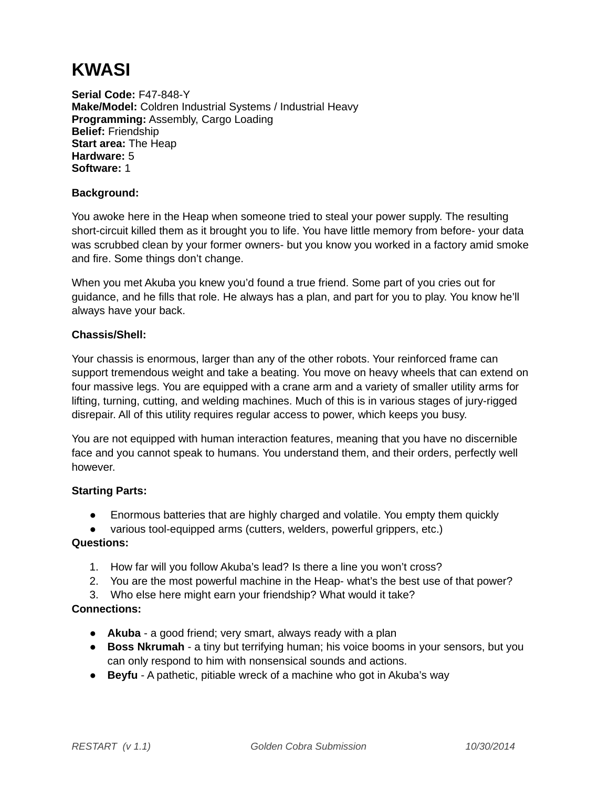## **KWASI**

**Serial Code:** F47-848-Y **Make/Model:** Coldren Industrial Systems / Industrial Heavy **Programming:** Assembly, Cargo Loading **Belief:** Friendship **Start area:** The Heap **Hardware:** 5 **Software:** 1

#### **Background:**

You awoke here in the Heap when someone tried to steal your power supply. The resulting short-circuit killed them as it brought you to life. You have little memory from before- your data was scrubbed clean by your former owners- but you know you worked in a factory amid smoke and fire. Some things don't change.

When you met Akuba you knew you'd found a true friend. Some part of you cries out for guidance, and he fills that role. He always has a plan, and part for you to play. You know he'll always have your back.

#### **Chassis/Shell:**

Your chassis is enormous, larger than any of the other robots. Your reinforced frame can support tremendous weight and take a beating. You move on heavy wheels that can extend on four massive legs. You are equipped with a crane arm and a variety of smaller utility arms for lifting, turning, cutting, and welding machines. Much of this is in various stages of jury-rigged disrepair. All of this utility requires regular access to power, which keeps you busy.

You are not equipped with human interaction features, meaning that you have no discernible face and you cannot speak to humans. You understand them, and their orders, perfectly well however.

#### **Starting Parts:**

- Enormous batteries that are highly charged and volatile. You empty them quickly
- various tool-equipped arms (cutters, welders, powerful grippers, etc.)

#### **Questions:**

- 1. How far will you follow Akuba's lead? Is there a line you won't cross?
- 2. You are the most powerful machine in the Heap- what's the best use of that power?
- 3. Who else here might earn your friendship? What would it take?

- **Akuba**  a good friend; very smart, always ready with a plan
- **Boss Nkrumah** a tiny but terrifying human; his voice booms in your sensors, but you can only respond to him with nonsensical sounds and actions.
- **Beyfu** A pathetic, pitiable wreck of a machine who got in Akuba's way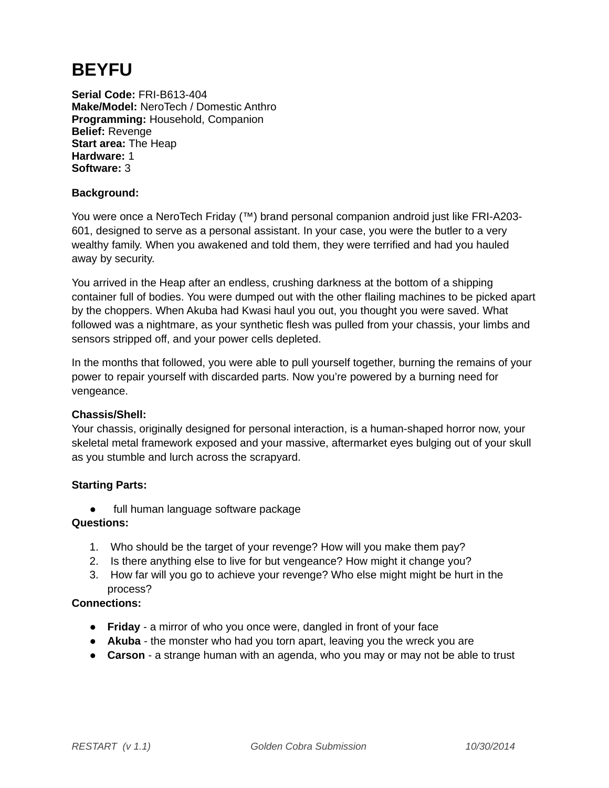## **BEYFU**

**Serial Code:** FRI-B613-404 **Make/Model:** NeroTech / Domestic Anthro **Programming:** Household, Companion **Belief:** Revenge **Start area:** The Heap **Hardware:** 1 **Software:** 3

#### **Background:**

You were once a NeroTech Friday (™) brand personal companion android just like FRI-A203- 601, designed to serve as a personal assistant. In your case, you were the butler to a very wealthy family. When you awakened and told them, they were terrified and had you hauled away by security.

You arrived in the Heap after an endless, crushing darkness at the bottom of a shipping container full of bodies. You were dumped out with the other flailing machines to be picked apart by the choppers. When Akuba had Kwasi haul you out, you thought you were saved. What followed was a nightmare, as your synthetic flesh was pulled from your chassis, your limbs and sensors stripped off, and your power cells depleted.

In the months that followed, you were able to pull yourself together, burning the remains of your power to repair yourself with discarded parts. Now you're powered by a burning need for vengeance.

#### **Chassis/Shell:**

Your chassis, originally designed for personal interaction, is a human-shaped horror now, your skeletal metal framework exposed and your massive, aftermarket eyes bulging out of your skull as you stumble and lurch across the scrapyard.

#### **Starting Parts:**

● full human language software package

#### **Questions:**

- 1. Who should be the target of your revenge? How will you make them pay?
- 2. Is there anything else to live for but vengeance? How might it change you?
- 3. How far will you go to achieve your revenge? Who else might might be hurt in the process?

- **Friday**  a mirror of who you once were, dangled in front of your face
- **Akuba** the monster who had you torn apart, leaving you the wreck you are
- **Carson** a strange human with an agenda, who you may or may not be able to trust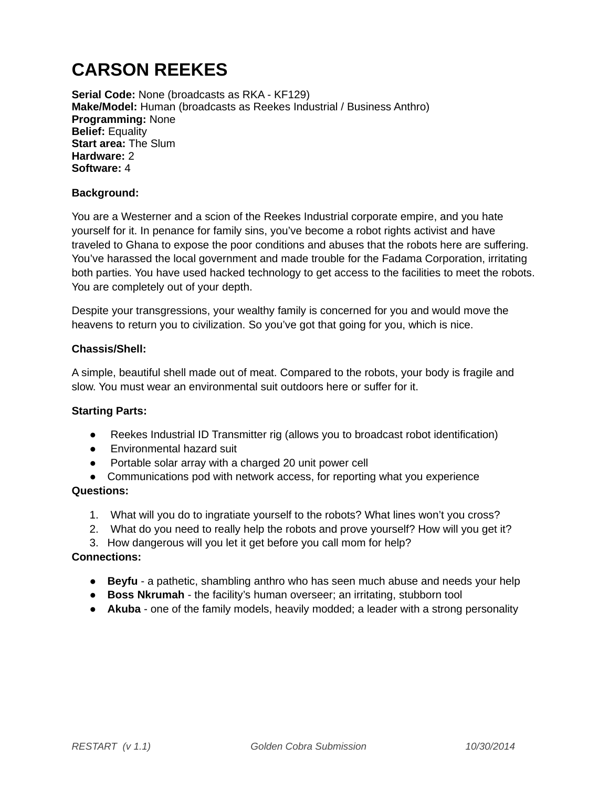## **CARSON REEKES**

**Serial Code:** None (broadcasts as RKA - KF129) **Make/Model:** Human (broadcasts as Reekes Industrial / Business Anthro) **Programming:** None **Belief:** Equality **Start area:** The Slum **Hardware:** 2 **Software:** 4

#### **Background:**

You are a Westerner and a scion of the Reekes Industrial corporate empire, and you hate yourself for it. In penance for family sins, you've become a robot rights activist and have traveled to Ghana to expose the poor conditions and abuses that the robots here are suffering. You've harassed the local government and made trouble for the Fadama Corporation, irritating both parties. You have used hacked technology to get access to the facilities to meet the robots. You are completely out of your depth.

Despite your transgressions, your wealthy family is concerned for you and would move the heavens to return you to civilization. So you've got that going for you, which is nice.

#### **Chassis/Shell:**

A simple, beautiful shell made out of meat. Compared to the robots, your body is fragile and slow. You must wear an environmental suit outdoors here or suffer for it.

#### **Starting Parts:**

- Reekes Industrial ID Transmitter rig (allows you to broadcast robot identification)
- Environmental hazard suit
- Portable solar array with a charged 20 unit power cell
- Communications pod with network access, for reporting what you experience

#### **Questions:**

- 1. What will you do to ingratiate yourself to the robots? What lines won't you cross?
- 2. What do you need to really help the robots and prove yourself? How will you get it?
- 3. How dangerous will you let it get before you call mom for help?

- **Beyfu** a pathetic, shambling anthro who has seen much abuse and needs your help
- **Boss Nkrumah** the facility's human overseer; an irritating, stubborn tool
- **Akuba** one of the family models, heavily modded; a leader with a strong personality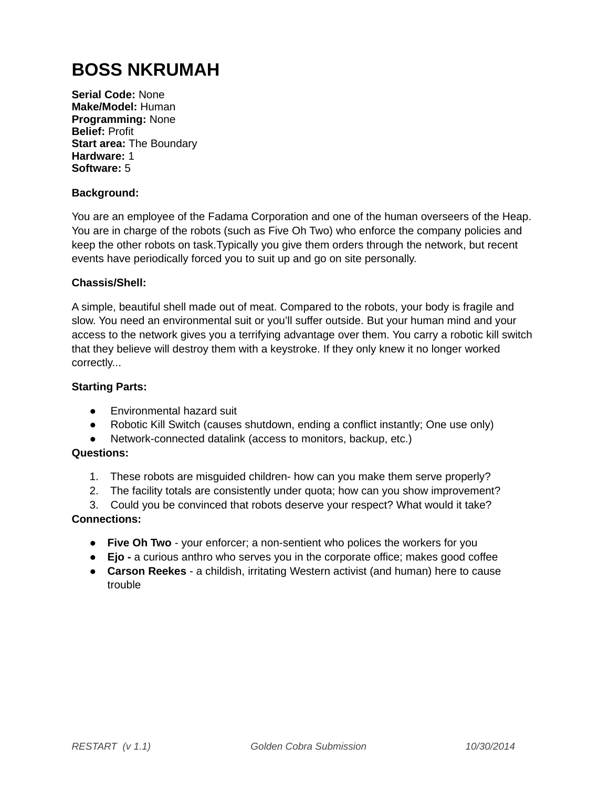## **BOSS NKRUMAH**

**Serial Code:** None **Make/Model:** Human **Programming:** None **Belief:** Profit **Start area:** The Boundary **Hardware:** 1 **Software:** 5

#### **Background:**

You are an employee of the Fadama Corporation and one of the human overseers of the Heap. You are in charge of the robots (such as Five Oh Two) who enforce the company policies and keep the other robots on task.Typically you give them orders through the network, but recent events have periodically forced you to suit up and go on site personally.

#### **Chassis/Shell:**

A simple, beautiful shell made out of meat. Compared to the robots, your body is fragile and slow. You need an environmental suit or you'll suffer outside. But your human mind and your access to the network gives you a terrifying advantage over them. You carry a robotic kill switch that they believe will destroy them with a keystroke. If they only knew it no longer worked correctly...

#### **Starting Parts:**

- Environmental hazard suit
- Robotic Kill Switch (causes shutdown, ending a conflict instantly; One use only)
- Network-connected datalink (access to monitors, backup, etc.)

#### **Questions:**

- 1. These robots are misguided children- how can you make them serve properly?
- 2. The facility totals are consistently under quota; how can you show improvement?
- 3. Could you be convinced that robots deserve your respect? What would it take?

- **Five Oh Two**  your enforcer; a non-sentient who polices the workers for you
- **Ejo** a curious anthro who serves you in the corporate office; makes good coffee
- **Carson Reekes** a childish, irritating Western activist (and human) here to cause trouble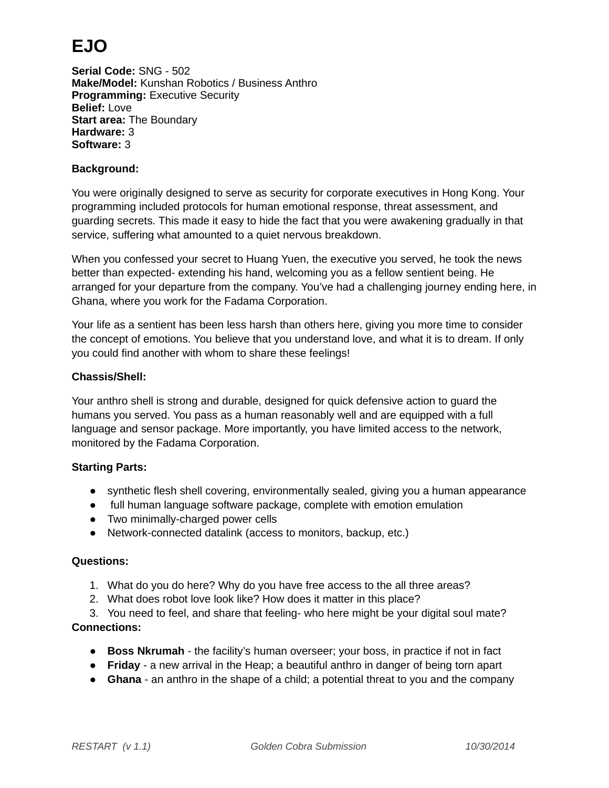## **EJO**

**Serial Code:** SNG - 502 **Make/Model:** Kunshan Robotics / Business Anthro **Programming:** Executive Security **Belief:** Love **Start area:** The Boundary **Hardware:** 3 **Software:** 3

#### **Background:**

You were originally designed to serve as security for corporate executives in Hong Kong. Your programming included protocols for human emotional response, threat assessment, and guarding secrets. This made it easy to hide the fact that you were awakening gradually in that service, suffering what amounted to a quiet nervous breakdown.

When you confessed your secret to Huang Yuen, the executive you served, he took the news better than expected- extending his hand, welcoming you as a fellow sentient being. He arranged for your departure from the company. You've had a challenging journey ending here, in Ghana, where you work for the Fadama Corporation.

Your life as a sentient has been less harsh than others here, giving you more time to consider the concept of emotions. You believe that you understand love, and what it is to dream. If only you could find another with whom to share these feelings!

#### **Chassis/Shell:**

Your anthro shell is strong and durable, designed for quick defensive action to guard the humans you served. You pass as a human reasonably well and are equipped with a full language and sensor package. More importantly, you have limited access to the network, monitored by the Fadama Corporation.

#### **Starting Parts:**

- synthetic flesh shell covering, environmentally sealed, giving you a human appearance
- full human language software package, complete with emotion emulation
- Two minimally-charged power cells
- Network-connected datalink (access to monitors, backup, etc.)

#### **Questions:**

- 1. What do you do here? Why do you have free access to the all three areas?
- 2. What does robot love look like? How does it matter in this place?

3. You need to feel, and share that feeling- who here might be your digital soul mate? **Connections:**

- **Boss Nkrumah** the facility's human overseer; your boss, in practice if not in fact
- **Friday**  a new arrival in the Heap; a beautiful anthro in danger of being torn apart
- **Ghana** an anthro in the shape of a child; a potential threat to you and the company